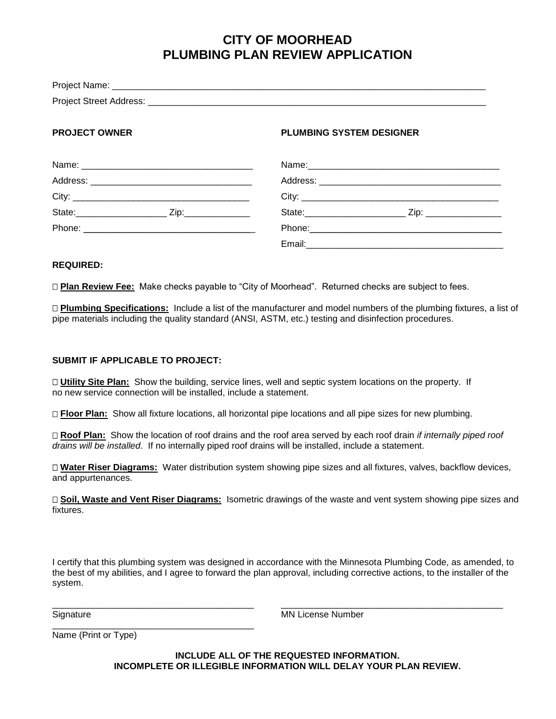## **CITY OF MOORHEAD PLUMBING PLAN REVIEW APPLICATION**

| <b>PROJECT OWNER</b> | <b>PLUMBING SYSTEM DESIGNER</b> |
|----------------------|---------------------------------|
|                      |                                 |
|                      |                                 |
|                      |                                 |
|                      | State: <u>2ip: Zip:</u>         |
|                      |                                 |
|                      |                                 |

#### **REQUIRED:**

**Plan Review Fee:** Make checks payable to "City of Moorhead". Returned checks are subject to fees.

 **Plumbing Specifications:** Include a list of the manufacturer and model numbers of the plumbing fixtures, a list of pipe materials including the quality standard (ANSI, ASTM, etc.) testing and disinfection procedures.

#### **SUBMIT IF APPLICABLE TO PROJECT:**

 **Utility Site Plan:** Show the building, service lines, well and septic system locations on the property. If no new service connection will be installed, include a statement.

**Floor Plan:** Show all fixture locations, all horizontal pipe locations and all pipe sizes for new plumbing.

 **Roof Plan:** Show the location of roof drains and the roof area served by each roof drain *if internally piped roof drains will be installed*. If no internally piped roof drains will be installed, include a statement.

 **Water Riser Diagrams:** Water distribution system showing pipe sizes and all fixtures, valves, backflow devices, and appurtenances.

 **Soil, Waste and Vent Riser Diagrams:** Isometric drawings of the waste and vent system showing pipe sizes and fixtures.

I certify that this plumbing system was designed in accordance with the Minnesota Plumbing Code, as amended, to the best of my abilities, and I agree to forward the plan approval, including corrective actions, to the installer of the system.

\_\_\_\_\_\_\_\_\_\_\_\_\_\_\_\_\_\_\_\_\_\_\_\_\_\_\_\_\_\_\_\_\_\_\_\_\_\_\_\_ \_\_\_\_\_\_\_\_\_\_\_\_\_\_\_\_\_\_\_\_\_\_\_\_\_\_\_\_\_\_\_\_\_\_\_\_\_\_\_\_\_\_\_\_

Signature MN License Number

Name (Print or Type)

\_\_\_\_\_\_\_\_\_\_\_\_\_\_\_\_\_\_\_\_\_\_\_\_\_\_\_\_\_\_\_\_\_\_\_\_\_\_\_\_

**INCLUDE ALL OF THE REQUESTED INFORMATION. INCOMPLETE OR ILLEGIBLE INFORMATION WILL DELAY YOUR PLAN REVIEW.**